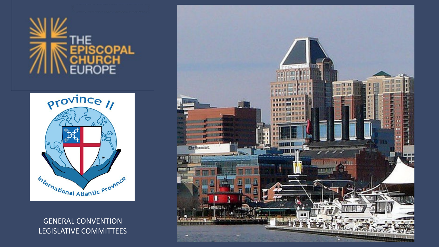# COPAL



#### GENERAL CONVENTION LEGISLATIVE COMMITTEES

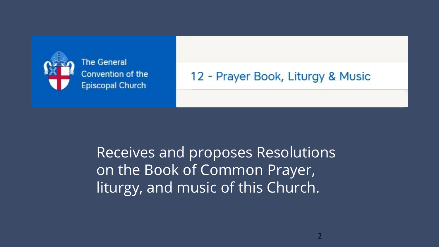

**The General** Convention of the **Episcopal Church** 

#### 12 - Prayer Book, Liturgy & Music

Receives and proposes Resolutions on the Book of Common Prayer, liturgy, and music of this Church.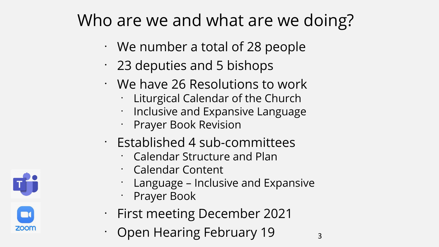### Who are we and what are we doing?

- We number a total of 28 people
- $\cdot$  23 deputies and 5 bishops
- We have 26 Resolutions to work
	- Liturgical Calendar of the Church
	- Inclusive and Expansive Language
	- Prayer Book Revision
- Established 4 sub-committees
	- Calendar Structure and Plan
	- Calendar Content
	- Language Inclusive and Expansive
	- Prayer Book
- First meeting December 2021
	- Open Hearing February 19

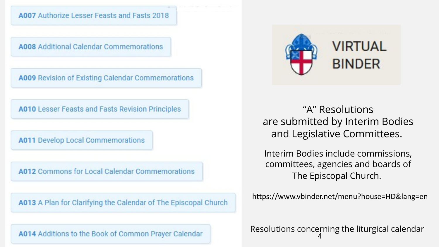A007 Authorize Lesser Feasts and Fasts 2018

**A008** Additional Calendar Commemorations

A009 Revision of Existing Calendar Commemorations

**A010** Lesser Feasts and Fasts Revision Principles

**A011** Develop Local Commemorations

A012 Commons for Local Calendar Commemorations

A013 A Plan for Clarifying the Calendar of The Episcopal Church

A014 Additions to the Book of Common Prayer Calendar



"A" Resolutions are submitted by Interim Bodies and Legislative Committees.

Interim Bodies include commissions, committees, agencies and boards of The Episcopal Church.

https://www.vbinder.net/menu?house=HD&lang=en

4 Resolutions concerning the liturgical calendar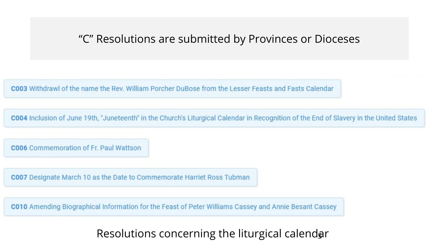#### "C" Resolutions are submitted by Provinces or Dioceses

**C003** Withdrawl of the name the Rev. William Porcher DuBose from the Lesser Feasts and Fasts Calendar

**C004** Inclusion of June 19th, "Juneteenth" in the Church's Liturgical Calendar in Recognition of the End of Slavery in the United States

**C006** Commemoration of Fr. Paul Wattson

**C007** Designate March 10 as the Date to Commemorate Harriet Ross Tubman

C010 Amending Biographical Information for the Feast of Peter Williams Cassey and Annie Besant Cassey

#### Resolutions concerning the liturgical calendar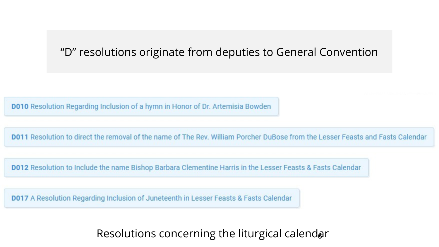#### "D" resolutions originate from deputies to General Convention

**D010** Resolution Regarding Inclusion of a hymn in Honor of Dr. Artemisia Bowden

D011 Resolution to direct the removal of the name of The Rev. William Porcher DuBose from the Lesser Feasts and Fasts Calendar

**D012** Resolution to Include the name Bishop Barbara Clementine Harris in the Lesser Feasts & Fasts Calendar

**D017** A Resolution Regarding Inclusion of Juneteenth in Lesser Feasts & Fasts Calendar

#### Resolutions concerning the liturgical calendar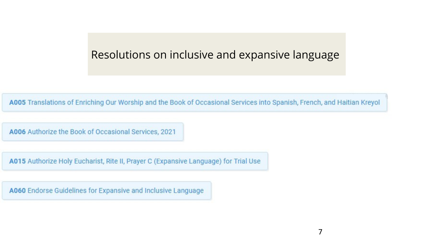#### Resolutions on inclusive and expansive language

A005 Translations of Enriching Our Worship and the Book of Occasional Services into Spanish, French, and Haitian Kreyol

A006 Authorize the Book of Occasional Services, 2021

A015 Authorize Holy Eucharist, Rite II, Prayer C (Expansive Language) for Trial Use

A060 Endorse Guidelines for Expansive and Inclusive Language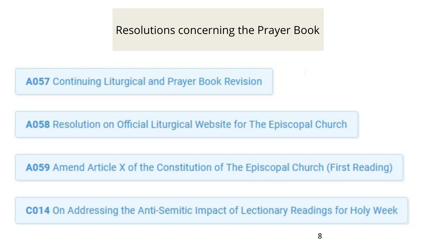Resolutions concerning the Prayer Book

**A057** Continuing Liturgical and Prayer Book Revision

A058 Resolution on Official Liturgical Website for The Episcopal Church

A059 Amend Article X of the Constitution of The Episcopal Church (First Reading)

**C014** On Addressing the Anti-Semitic Impact of Lectionary Readings for Holy Week

8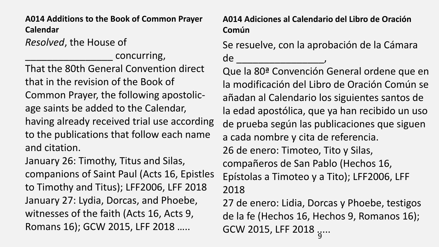*Resolved*, the House of **A014 Additions to the Book of Common Prayer Calendar** 

concurring, That the 80th General Convention direct that in the revision of the Book of Common Prayer, the following apostolicage saints be added to the Calendar, having already received trial use according to the publications that follow each name and citation.

January 26: Timothy, Titus and Silas, companions of Saint Paul (Acts 16, Epistles to Timothy and Titus); LFF2006, LFF 2018 January 27: Lydia, Dorcas, and Phoebe, witnesses of the faith (Acts 16, Acts 9, Romans 16); GCW 2015, LFF 2018 …..

**A014 Adiciones al Calendario del Libro de Oración Común** 

Se resuelve, con la aprobación de la Cámara de \_\_\_\_\_\_\_\_\_\_\_\_\_\_\_\_,

Que la 80ª Convención General ordene que en la modificación del Libro de Oración Común se añadan al Calendario los siguientes santos de la edad apostólica, que ya han recibido un uso de prueba según las publicaciones que siguen a cada nombre y cita de referencia. 26 de enero: Timoteo, Tito y Silas, compañeros de San Pablo (Hechos 16, Epístolas a Timoteo y a Tito); LFF2006, LFF 2018

..<br>9 27 de enero: Lidia, Dorcas y Phoebe, testigos de la fe (Hechos 16, Hechos 9, Romanos 16); GCW 2015, LFF 2018 .....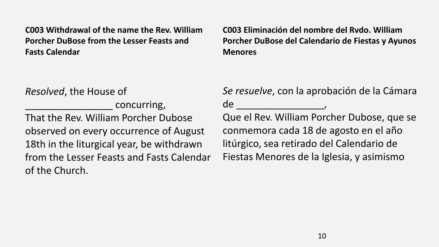**C003 Withdrawal of the name the Rev. William Porcher DuBose from the Lesser Feasts and Fasts Calendar** 

**C003 Eliminación del nombre del Rvdo. William Porcher DuBose del Calendario de Fiestas y Ayunos Menores** 

*Resolved*, the House of

concurring, That the Rev. William Porcher Dubose observed on every occurrence of August 18th in the liturgical year, be withdrawn from the Lesser Feasts and Fasts Calendar of the Church.

*Se resuelve*, con la aprobación de la Cámara de \_\_\_\_\_\_\_\_\_\_\_\_\_\_\_\_, Que el Rev. William Porcher Dubose, que se conmemora cada 18 de agosto en el año litúrgico, sea retirado del Calendario de Fiestas Menores de la Iglesia, y asimismo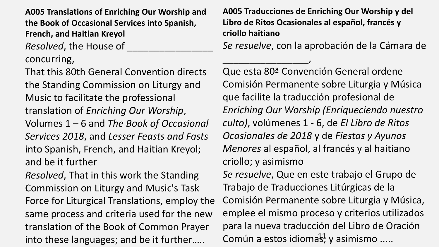**A005 Translations of Enriching Our Worship and the Book of Occasional Services into Spanish, French, and Haitian Kreyol** 

*Resolved*, the House of

concurring,

That this 80th General Convention directs the Standing Commission on Liturgy and Music to facilitate the professional translation of *Enriching Our Worship*, Volumes 1 – 6 and *The Book of Occasional Services 2018*, and *Lesser Feasts and Fasts* into Spanish, French, and Haitian Kreyol; and be it further

*Resolved*, That in this work the Standing Commission on Liturgy and Music's Task Force for Liturgical Translations, employ the same process and criteria used for the new translation of the Book of Common Prayer into these languages; and be it further…..

**A005 Traducciones de Enriching Our Worship y del Libro de Ritos Ocasionales al español, francés y criollo haitiano** 

\_\_\_\_\_\_\_\_\_\_\_\_\_\_\_\_,

*Se resuelve*, con la aprobación de la Cámara de

Común a estos idioma<sup>11</sup>, y asimismo ..... Que esta 80ª Convención General ordene Comisión Permanente sobre Liturgia y Música que facilite la traducción profesional de *Enriching Our Worship (Enriqueciendo nuestro culto)*, volúmenes 1 - 6, de *El Libro de Ritos Ocasionales de 2018* y de *Fiestas y Ayunos Menores* al español, al francés y al haitiano criollo; y asimismo *Se resuelve*, Que en este trabajo el Grupo de Trabajo de Traducciones Litúrgicas de la Comisión Permanente sobre Liturgia y Música, emplee el mismo proceso y criterios utilizados para la nueva traducción del Libro de Oración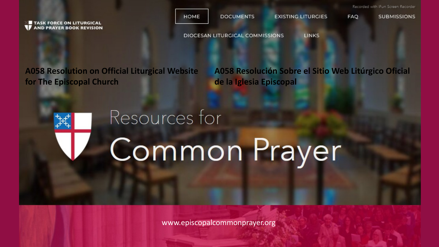HOME **DOCUMENTS EXISTING LITURGIES FAQ SUBMISSIONS IF TASK FORCE ON LITURGICAL**<br>**V** AND PRAYER BOOK REVISION **DIOCESAN LITURGICAL COMMISSIONS LINKS** 

**A058 Resolution on Official Liturgical Website for The Episcopal Church** 

Resources for

**A058 Resolución Sobre el Sitio Web Litúrgico Oficial de la Iglesia Episcopal** 

Recorded with iFun Screen Recorder

12

## **Common Prayer**

www.episcopalcommonprayer.org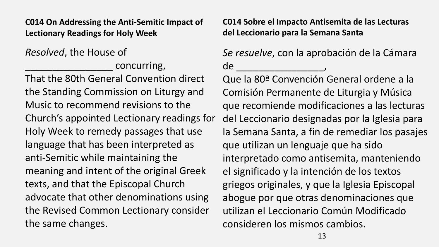**C014 On Addressing the Anti-Semitic Impact of Lectionary Readings for Holy Week** 

*Resolved*, the House of

concurring,

That the 80th General Convention direct the Standing Commission on Liturgy and Music to recommend revisions to the Church's appointed Lectionary readings for Holy Week to remedy passages that use language that has been interpreted as anti-Semitic while maintaining the meaning and intent of the original Greek texts, and that the Episcopal Church advocate that other denominations using the Revised Common Lectionary consider the same changes.

**C014 Sobre el Impacto Antisemita de las Lecturas del Leccionario para la Semana Santa** 

*Se resuelve*, con la aprobación de la Cámara de \_\_\_\_\_\_\_\_\_\_\_\_\_\_\_\_,

Que la 80ª Convención General ordene a la Comisión Permanente de Liturgia y Música que recomiende modificaciones a las lecturas del Leccionario designadas por la Iglesia para la Semana Santa, a fin de remediar los pasajes que utilizan un lenguaje que ha sido interpretado como antisemita, manteniendo el significado y la intención de los textos griegos originales, y que la Iglesia Episcopal abogue por que otras denominaciones que utilizan el Leccionario Común Modificado consideren los mismos cambios.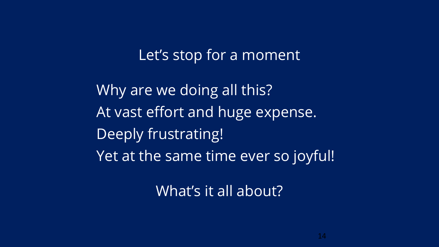Let's stop for a moment

Why are we doing all this? At vast effort and huge expense. Deeply frustrating! Yet at the same time ever so joyful!

What's it all about?